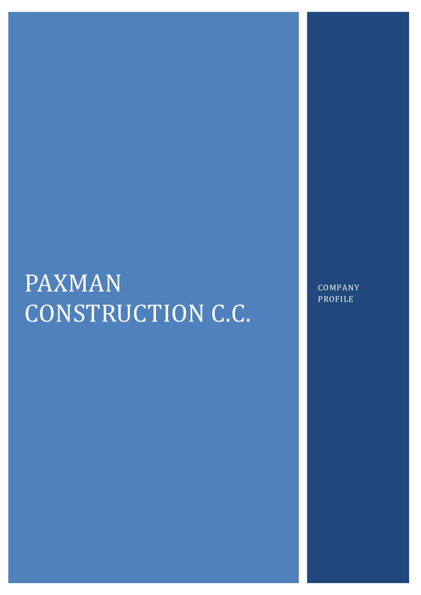# PAXMAN CONSTRUCTION C.C.

COMPANY PROFILE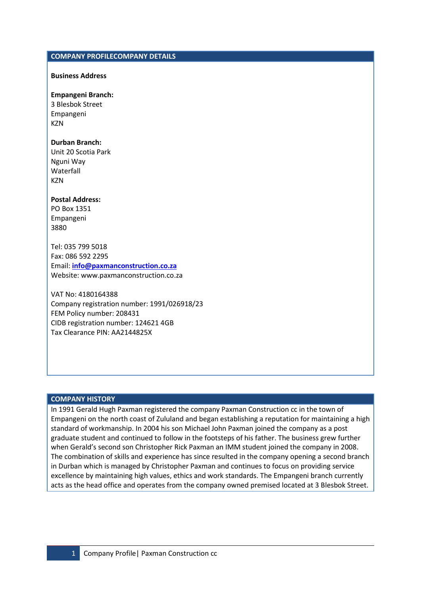#### COMPANY PROFILECOMPANY DETAILS

#### Business Address

#### Empangeni Branch:

3 Blesbok Street Empangeni **KZN** 

#### Durban Branch:

Unit 20 Scotia Park Nguni Way Waterfall **KZN** 

#### Postal Address:

PO Box 1351 Empangeni 3880

Tel: 035 799 5018 Fax: 086 592 2295 Email: info@paxmanconstruction.co.za Website: www.paxmanconstruction.co.za

# VAT No: 4180164388

Company registration number: 1991/026918/23 FEM Policy number: 208431 CIDB registration number: 124621 4GB Tax Clearance PIN: AA2144825X

#### COMPANY HISTORY

In 1991 Gerald Hugh Paxman registered the company Paxman Construction cc in the town of Empangeni on the north coast of Zululand and began establishing a reputation for maintaining a high standard of workmanship. In 2004 his son Michael John Paxman joined the company as a post graduate student and continued to follow in the footsteps of his father. The business grew further when Gerald's second son Christopher Rick Paxman an IMM student joined the company in 2008. The combination of skills and experience has since resulted in the company opening a second branch in Durban which is managed by Christopher Paxman and continues to focus on providing service excellence by maintaining high values, ethics and work standards. The Empangeni branch currently acts as the head office and operates from the company owned premised located at 3 Blesbok Street.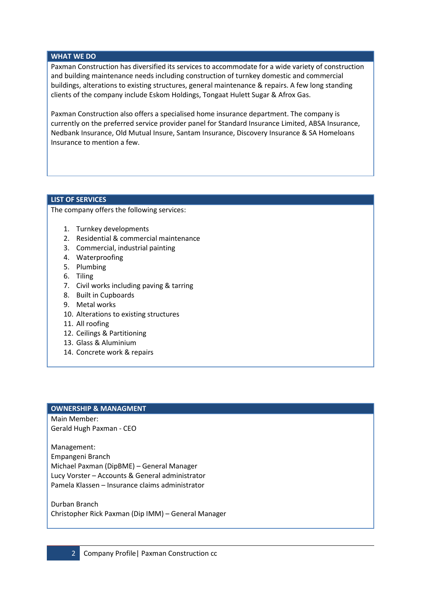#### WHAT WE DO

Paxman Construction has diversified its services to accommodate for a wide variety of construction and building maintenance needs including construction of turnkey domestic and commercial buildings, alterations to existing structures, general maintenance & repairs. A few long standing clients of the company include Eskom Holdings, Tongaat Hulett Sugar & Afrox Gas.

Paxman Construction also offers a specialised home insurance department. The company is currently on the preferred service provider panel for Standard Insurance Limited, ABSA Insurance, Nedbank Insurance, Old Mutual Insure, Santam Insurance, Discovery Insurance & SA Homeloans Insurance to mention a few.

## LIST OF SERVICES

The company offers the following services:

- 1. Turnkey developments
- 2. Residential & commercial maintenance
- 3. Commercial, industrial painting
- 4. Waterproofing
- 5. Plumbing
- 6. Tiling
- 7. Civil works including paving & tarring
- 8. Built in Cupboards
- 9. Metal works
- 10. Alterations to existing structures
- 11. All roofing
- 12. Ceilings & Partitioning
- 13. Glass & Aluminium
- 14. Concrete work & repairs

#### OWNERSHIP & MANAGMENT

Main Member: Gerald Hugh Paxman - CEO

Management: Empangeni Branch Michael Paxman (DipBME) – General Manager Lucy Vorster – Accounts & General administrator Pamela Klassen – Insurance claims administrator

Durban Branch Christopher Rick Paxman (Dip IMM) – General Manager